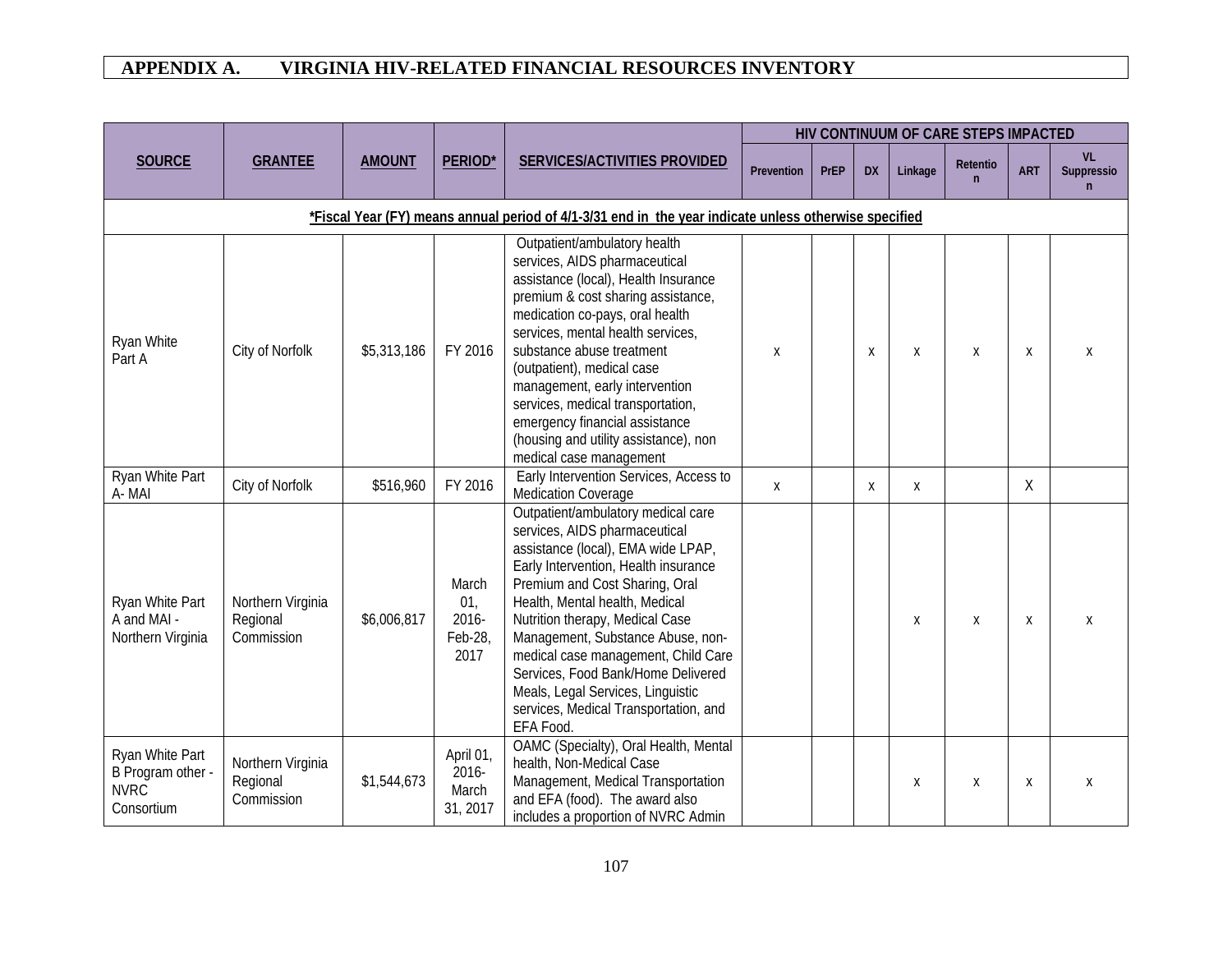|                                                                   |                                             |               |                                          |                                                                                                                                                                                                                                                                                                                                                                                                                                                                       |            |             |           |         | HIV CONTINUUM OF CARE STEPS IMPACTED |                  |                               |
|-------------------------------------------------------------------|---------------------------------------------|---------------|------------------------------------------|-----------------------------------------------------------------------------------------------------------------------------------------------------------------------------------------------------------------------------------------------------------------------------------------------------------------------------------------------------------------------------------------------------------------------------------------------------------------------|------------|-------------|-----------|---------|--------------------------------------|------------------|-------------------------------|
| <b>SOURCE</b>                                                     | <b>GRANTEE</b>                              | <b>AMOUNT</b> | PERIOD*                                  | SERVICES/ACTIVITIES PROVIDED                                                                                                                                                                                                                                                                                                                                                                                                                                          | Prevention | <b>PrEP</b> | <b>DX</b> | Linkage | Retentio<br>$\mathsf{n}$             | <b>ART</b>       | <b>VL</b><br>Suppressio<br>n. |
|                                                                   |                                             |               |                                          | *Fiscal Year (FY) means annual period of 4/1-3/31 end in the year indicate unless otherwise specified                                                                                                                                                                                                                                                                                                                                                                 |            |             |           |         |                                      |                  |                               |
| Ryan White<br>Part A                                              | City of Norfolk                             | \$5,313,186   | FY 2016                                  | Outpatient/ambulatory health<br>services, AIDS pharmaceutical<br>assistance (local), Health Insurance<br>premium & cost sharing assistance,<br>medication co-pays, oral health<br>services, mental health services,<br>substance abuse treatment<br>(outpatient), medical case<br>management, early intervention<br>services, medical transportation,<br>emergency financial assistance<br>(housing and utility assistance), non<br>medical case management           | X          |             | X         | X       | X                                    | $\boldsymbol{X}$ | X                             |
| Ryan White Part<br>A-MAI                                          | City of Norfolk                             | \$516,960     | FY 2016                                  | Early Intervention Services, Access to<br>Medication Coverage                                                                                                                                                                                                                                                                                                                                                                                                         | Χ          |             | X         | X       |                                      | X                |                               |
| Ryan White Part<br>A and MAI -<br>Northern Virginia               | Northern Virginia<br>Regional<br>Commission | \$6,006,817   | March<br>01,<br>2016-<br>Feb-28,<br>2017 | Outpatient/ambulatory medical care<br>services, AIDS pharmaceutical<br>assistance (local), EMA wide LPAP,<br>Early Intervention, Health insurance<br>Premium and Cost Sharing, Oral<br>Health, Mental health, Medical<br>Nutrition therapy, Medical Case<br>Management, Substance Abuse, non-<br>medical case management, Child Care<br>Services, Food Bank/Home Delivered<br>Meals, Legal Services, Linguistic<br>services, Medical Transportation, and<br>EFA Food. |            |             |           | Χ       | X                                    | X                |                               |
| Ryan White Part<br>B Program other -<br><b>NVRC</b><br>Consortium | Northern Virginia<br>Regional<br>Commission | \$1,544,673   | April 01,<br>2016-<br>March<br>31, 2017  | OAMC (Specialty), Oral Health, Mental<br>health, Non-Medical Case<br>Management, Medical Transportation<br>and EFA (food). The award also<br>includes a proportion of NVRC Admin                                                                                                                                                                                                                                                                                      |            |             |           | Χ       | X                                    | X                | X                             |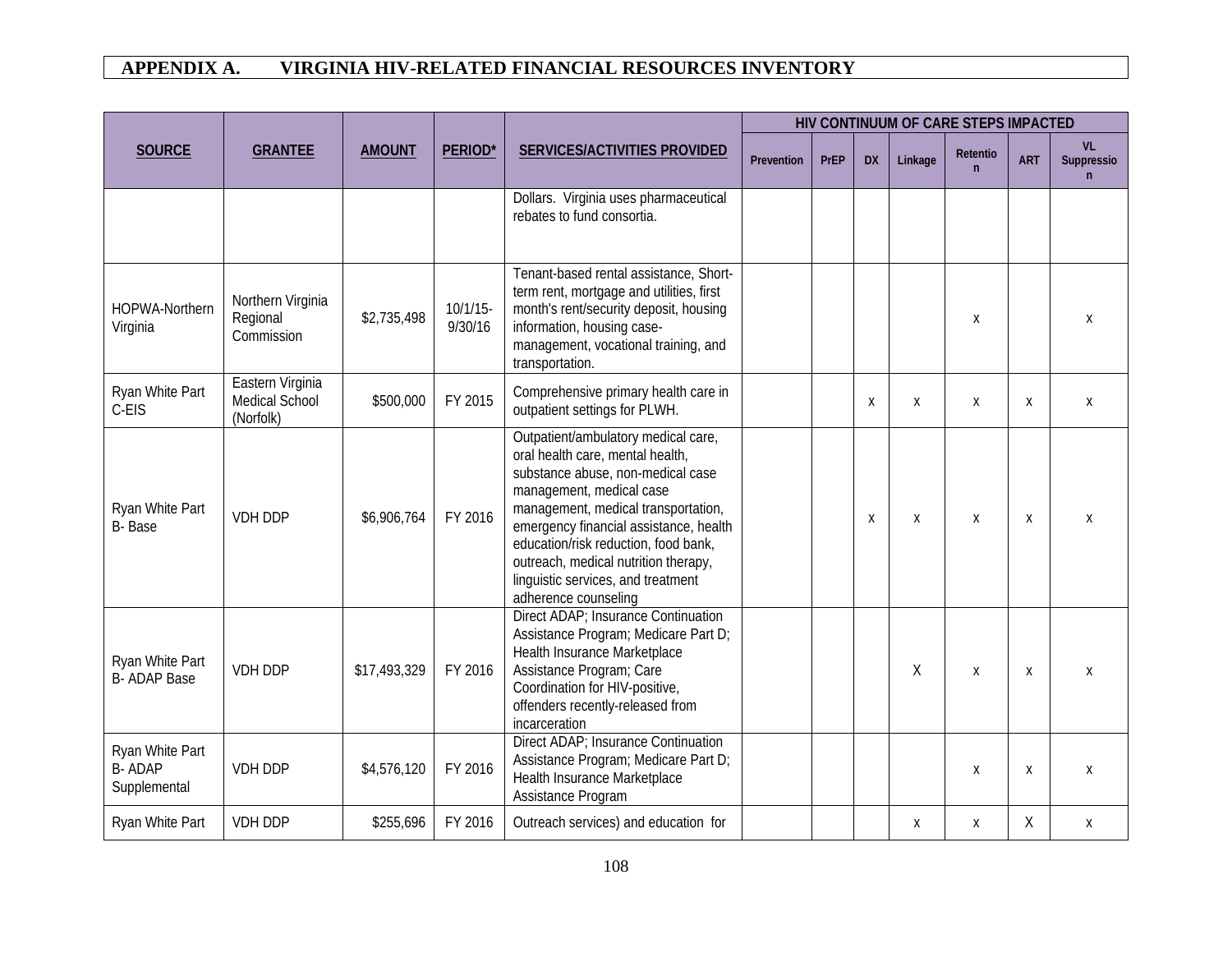|                                                  |                                                 |               |                        |                                                                                                                                                                                                                                                                                                                                                                         |            |             |           |         | HIV CONTINUUM OF CARE STEPS IMPACTED |            |                               |
|--------------------------------------------------|-------------------------------------------------|---------------|------------------------|-------------------------------------------------------------------------------------------------------------------------------------------------------------------------------------------------------------------------------------------------------------------------------------------------------------------------------------------------------------------------|------------|-------------|-----------|---------|--------------------------------------|------------|-------------------------------|
| <b>SOURCE</b>                                    | <b>GRANTEE</b>                                  | <b>AMOUNT</b> | <b>PERIOD*</b>         | <b>SERVICES/ACTIVITIES PROVIDED</b>                                                                                                                                                                                                                                                                                                                                     | Prevention | <b>PrEP</b> | <b>DX</b> | Linkage | Retentio<br>$\mathsf{n}$             | <b>ART</b> | <b>VL</b><br>Suppressio<br>'n |
|                                                  |                                                 |               |                        | Dollars. Virginia uses pharmaceutical<br>rebates to fund consortia.                                                                                                                                                                                                                                                                                                     |            |             |           |         |                                      |            |                               |
| <b>HOPWA-Northern</b><br>Virginia                | Northern Virginia<br>Regional<br>Commission     | \$2,735,498   | $10/1/15$ -<br>9/30/16 | Tenant-based rental assistance, Short-<br>term rent, mortgage and utilities, first<br>month's rent/security deposit, housing<br>information, housing case-<br>management, vocational training, and<br>transportation.                                                                                                                                                   |            |             |           |         | X                                    |            | X                             |
| Ryan White Part<br>C-EIS                         | Eastern Virginia<br>Medical School<br>(Norfolk) | \$500,000     | FY 2015                | Comprehensive primary health care in<br>outpatient settings for PLWH.                                                                                                                                                                                                                                                                                                   |            |             | X         | X       | X                                    | X          | X                             |
| Ryan White Part<br>B-Base                        | <b>VDH DDP</b>                                  | \$6,906,764   | FY 2016                | Outpatient/ambulatory medical care,<br>oral health care, mental health,<br>substance abuse, non-medical case<br>management, medical case<br>management, medical transportation,<br>emergency financial assistance, health<br>education/risk reduction, food bank,<br>outreach, medical nutrition therapy,<br>linguistic services, and treatment<br>adherence counseling |            |             | X         | X       | X                                    | X          | X                             |
| Ryan White Part<br><b>B-ADAP Base</b>            | <b>VDH DDP</b>                                  | \$17,493,329  | FY 2016                | Direct ADAP; Insurance Continuation<br>Assistance Program; Medicare Part D;<br>Health Insurance Marketplace<br>Assistance Program; Care<br>Coordination for HIV-positive,<br>offenders recently-released from<br>incarceration                                                                                                                                          |            |             |           | X       | X                                    | X          | X                             |
| Ryan White Part<br><b>B-ADAP</b><br>Supplemental | VDH DDP                                         | \$4,576,120   | FY 2016                | Direct ADAP; Insurance Continuation<br>Assistance Program; Medicare Part D;<br>Health Insurance Marketplace<br>Assistance Program                                                                                                                                                                                                                                       |            |             |           |         | X                                    | X          | X                             |
| Ryan White Part                                  | <b>VDH DDP</b>                                  | \$255,696     | FY 2016                | Outreach services) and education for                                                                                                                                                                                                                                                                                                                                    |            |             |           | Χ       | X                                    | Χ          | X                             |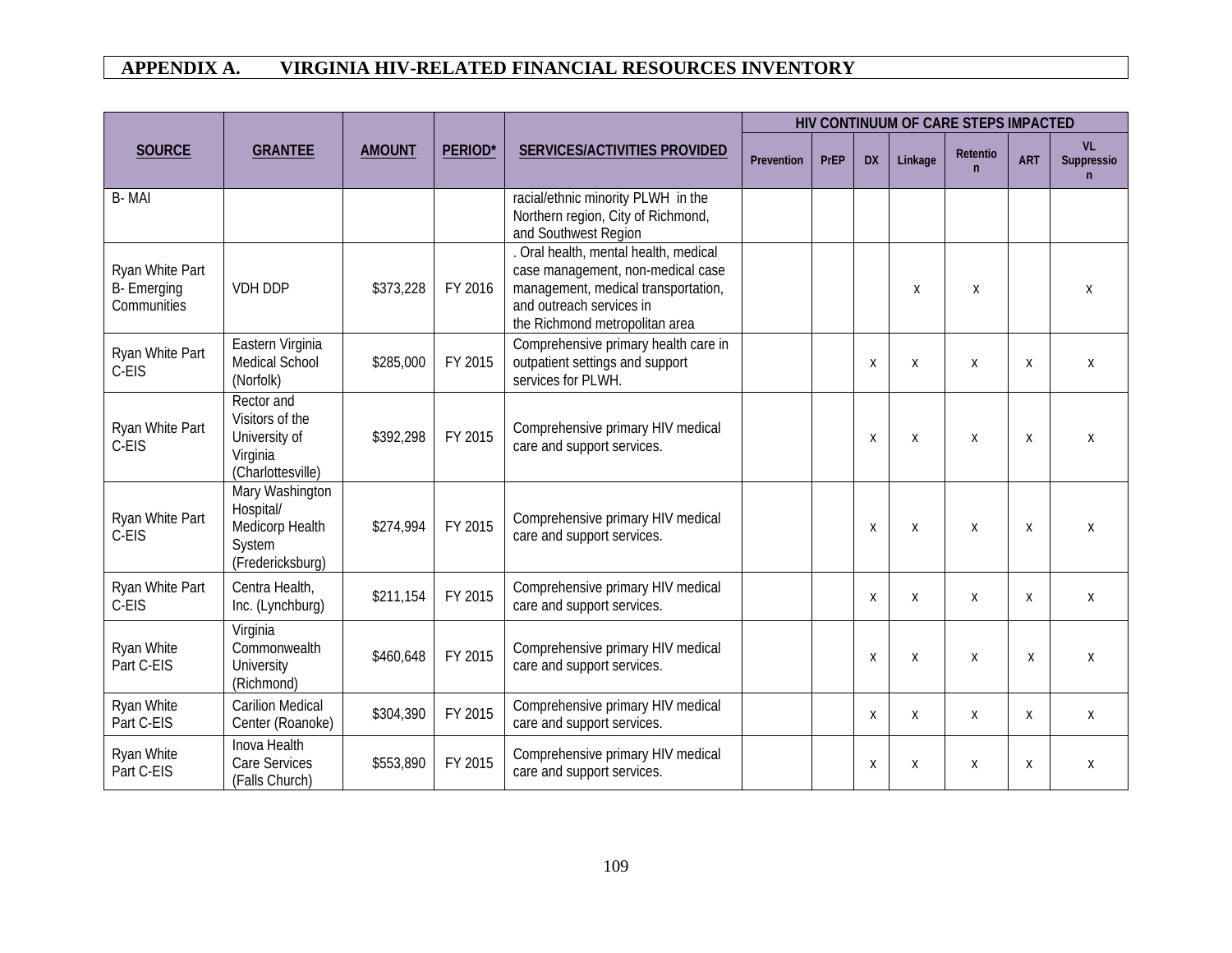|                                                      |                                                                                 |               |                |                                                                                                                                                                                 |            |             |           |         |                          | HIV CONTINUUM OF CARE STEPS IMPACTED |                               |  |
|------------------------------------------------------|---------------------------------------------------------------------------------|---------------|----------------|---------------------------------------------------------------------------------------------------------------------------------------------------------------------------------|------------|-------------|-----------|---------|--------------------------|--------------------------------------|-------------------------------|--|
| <b>SOURCE</b>                                        | <b>GRANTEE</b>                                                                  | <b>AMOUNT</b> | <b>PERIOD*</b> | SERVICES/ACTIVITIES PROVIDED                                                                                                                                                    | Prevention | <b>PrEP</b> | <b>DX</b> | Linkage | Retentio<br>$\mathsf{n}$ | <b>ART</b>                           | <b>VL</b><br>Suppressio<br>n. |  |
| B-MAI                                                |                                                                                 |               |                | racial/ethnic minority PLWH in the<br>Northern region, City of Richmond,<br>and Southwest Region                                                                                |            |             |           |         |                          |                                      |                               |  |
| Ryan White Part<br><b>B-</b> Emerging<br>Communities | VDH DDP                                                                         | \$373,228     | FY 2016        | . Oral health, mental health, medical<br>case management, non-medical case<br>management, medical transportation,<br>and outreach services in<br>the Richmond metropolitan area |            |             |           | Χ       | Χ                        |                                      | X                             |  |
| Ryan White Part<br>C-EIS                             | Eastern Virginia<br>Medical School<br>(Norfolk)                                 | \$285,000     | FY 2015        | Comprehensive primary health care in<br>outpatient settings and support<br>services for PLWH.                                                                                   |            |             | X         | X       | X                        | X                                    | X                             |  |
| Ryan White Part<br>C-EIS                             | Rector and<br>Visitors of the<br>University of<br>Virginia<br>(Charlottesville) | \$392,298     | FY 2015        | Comprehensive primary HIV medical<br>care and support services.                                                                                                                 |            |             | X         | X       | X                        | X                                    | X                             |  |
| Ryan White Part<br>C-EIS                             | Mary Washington<br>Hospital/<br>Medicorp Health<br>System<br>(Fredericksburg)   | \$274,994     | FY 2015        | Comprehensive primary HIV medical<br>care and support services.                                                                                                                 |            |             | X         | X       | X                        | X                                    | X                             |  |
| Ryan White Part<br>C-EIS                             | Centra Health,<br>Inc. (Lynchburg)                                              | \$211,154     | FY 2015        | Comprehensive primary HIV medical<br>care and support services.                                                                                                                 |            |             | Χ         | X       | Χ                        | Χ                                    | Χ                             |  |
| Ryan White<br>Part C-EIS                             | Virginia<br>Commonwealth<br><b>University</b><br>(Richmond)                     | \$460,648     | FY 2015        | Comprehensive primary HIV medical<br>care and support services.                                                                                                                 |            |             | X         | X       | X                        | X                                    | X                             |  |
| Ryan White<br>Part C-EIS                             | <b>Carilion Medical</b><br>Center (Roanoke)                                     | \$304,390     | FY 2015        | Comprehensive primary HIV medical<br>care and support services.                                                                                                                 |            |             | X         | X       | Χ                        | X                                    | Χ                             |  |
| Ryan White<br>Part C-EIS                             | Inova Health<br>Care Services<br>(Falls Church)                                 | \$553,890     | FY 2015        | Comprehensive primary HIV medical<br>care and support services.                                                                                                                 |            |             | Χ         | Χ       | X                        | X                                    | Χ                             |  |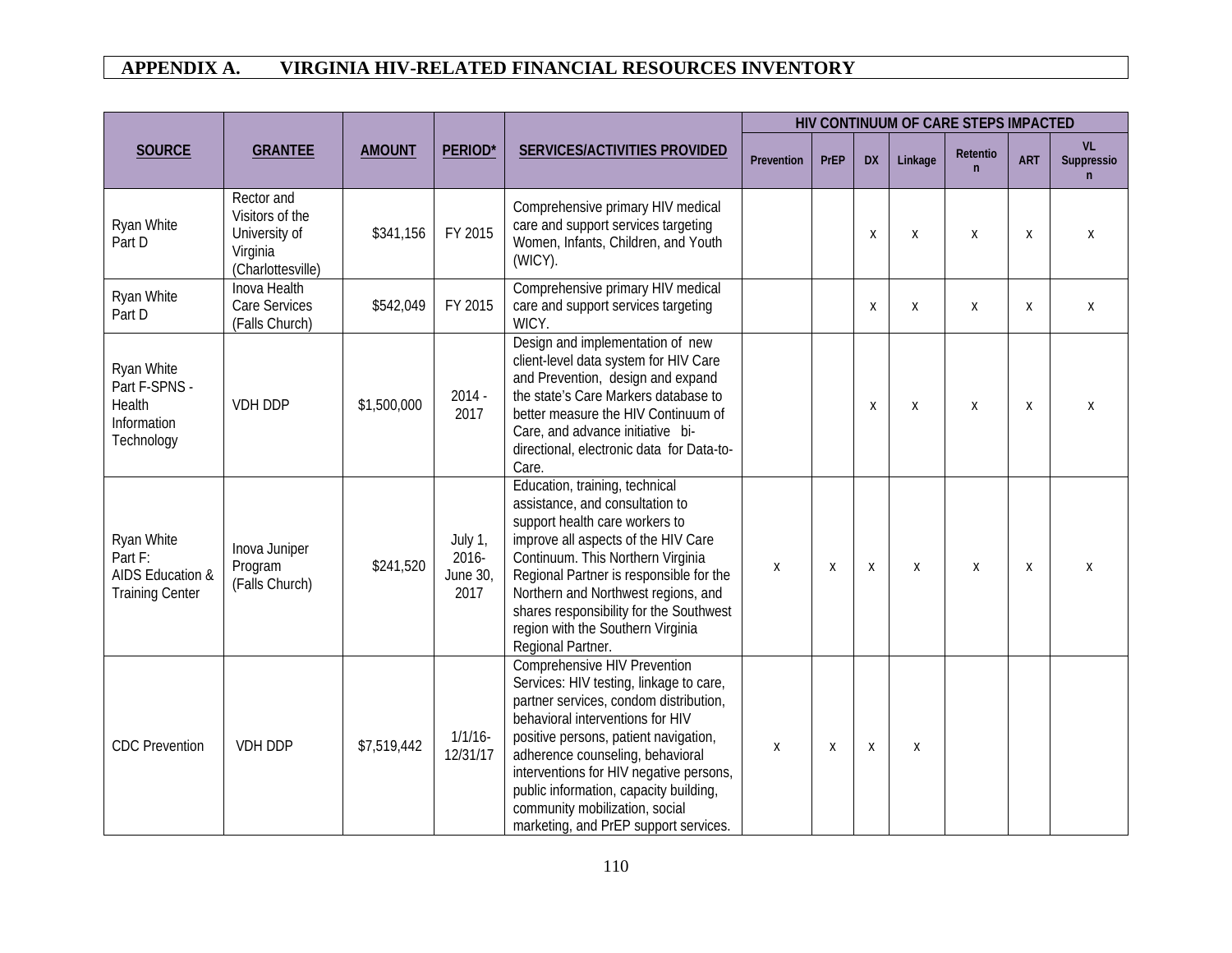|                                                                     |                                                                                 |               |                                      |                                                                                                                                                                                                                                                                                                                                                                                                           |            |             |           |         | HIV CONTINUUM OF CARE STEPS IMPACTED |            |                                           |
|---------------------------------------------------------------------|---------------------------------------------------------------------------------|---------------|--------------------------------------|-----------------------------------------------------------------------------------------------------------------------------------------------------------------------------------------------------------------------------------------------------------------------------------------------------------------------------------------------------------------------------------------------------------|------------|-------------|-----------|---------|--------------------------------------|------------|-------------------------------------------|
| <b>SOURCE</b>                                                       | <b>GRANTEE</b>                                                                  | <b>AMOUNT</b> | PERIOD*                              | SERVICES/ACTIVITIES PROVIDED                                                                                                                                                                                                                                                                                                                                                                              | Prevention | <b>PrEP</b> | <b>DX</b> | Linkage | Retentio<br>$\mathsf{n}$             | <b>ART</b> | <b>VL</b><br>Suppressio<br>$\overline{n}$ |
| Ryan White<br>Part D                                                | Rector and<br>Visitors of the<br>University of<br>Virginia<br>(Charlottesville) | \$341,156     | FY 2015                              | Comprehensive primary HIV medical<br>care and support services targeting<br>Women, Infants, Children, and Youth<br>(WICY).                                                                                                                                                                                                                                                                                |            |             | X         | X       | X                                    | X          | X                                         |
| Ryan White<br>Part D                                                | Inova Health<br>Care Services<br>(Falls Church)                                 | \$542,049     | FY 2015                              | Comprehensive primary HIV medical<br>care and support services targeting<br>WICY.                                                                                                                                                                                                                                                                                                                         |            |             | X         | X       | Χ                                    | Χ          | Χ                                         |
| Ryan White<br>Part F-SPNS -<br>Health<br>Information<br>Technology  | VDH DDP                                                                         | \$1,500,000   | $2014 -$<br>2017                     | Design and implementation of new<br>client-level data system for HIV Care<br>and Prevention, design and expand<br>the state's Care Markers database to<br>better measure the HIV Continuum of<br>Care, and advance initiative bi-<br>directional, electronic data for Data-to-<br>Care.                                                                                                                   |            |             | X         | X       | Χ                                    | X          | Χ                                         |
| Ryan White<br>Part F:<br>AIDS Education &<br><b>Training Center</b> | Inova Juniper<br>Program<br>(Falls Church)                                      | \$241,520     | July 1,<br>2016-<br>June 30,<br>2017 | Education, training, technical<br>assistance, and consultation to<br>support health care workers to<br>improve all aspects of the HIV Care<br>Continuum. This Northern Virginia<br>Regional Partner is responsible for the<br>Northern and Northwest regions, and<br>shares responsibility for the Southwest<br>region with the Southern Virginia<br>Regional Partner.                                    | Χ          | Χ           | Χ         | X       | Χ                                    | X          | X                                         |
| <b>CDC</b> Prevention                                               | <b>VDH DDP</b>                                                                  | \$7,519,442   | 1/1/16<br>12/31/17                   | <b>Comprehensive HIV Prevention</b><br>Services: HIV testing, linkage to care,<br>partner services, condom distribution,<br>behavioral interventions for HIV<br>positive persons, patient navigation,<br>adherence counseling, behavioral<br>interventions for HIV negative persons,<br>public information, capacity building,<br>community mobilization, social<br>marketing, and PrEP support services. | X          | X           | Χ         | X       |                                      |            |                                           |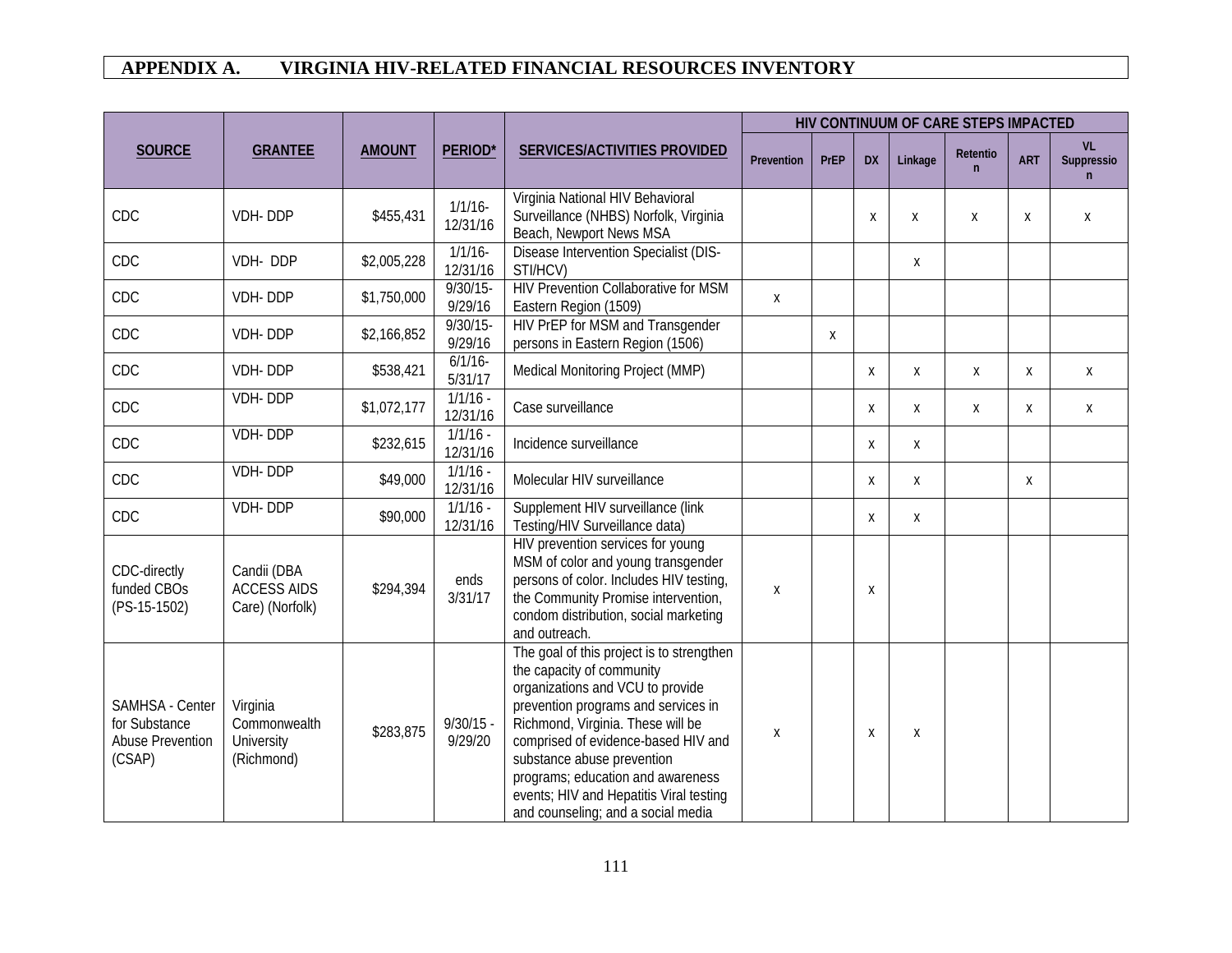|                                                                       |                                                      |               |                        |                                                                                                                                                                                                                                                                                                                                                                                   | HIV CONTINUUM OF CARE STEPS IMPACTED |              |           |         |                          |            |                               |
|-----------------------------------------------------------------------|------------------------------------------------------|---------------|------------------------|-----------------------------------------------------------------------------------------------------------------------------------------------------------------------------------------------------------------------------------------------------------------------------------------------------------------------------------------------------------------------------------|--------------------------------------|--------------|-----------|---------|--------------------------|------------|-------------------------------|
| <b>SOURCE</b>                                                         | <b>GRANTEE</b>                                       | <b>AMOUNT</b> | PERIOD*                | SERVICES/ACTIVITIES PROVIDED                                                                                                                                                                                                                                                                                                                                                      | Prevention                           | <b>PrEP</b>  | <b>DX</b> | Linkage | Retentio<br>$\mathsf{n}$ | <b>ART</b> | <b>VL</b><br>Suppressio<br>n. |
| CDC                                                                   | VDH-DDP                                              | \$455,431     | 1/1/16<br>12/31/16     | Virginia National HIV Behavioral<br>Surveillance (NHBS) Norfolk, Virginia<br>Beach, Newport News MSA                                                                                                                                                                                                                                                                              |                                      |              | Χ         | Χ       | X                        | X          | X                             |
| CDC                                                                   | VDH-DDP                                              | \$2,005,228   | 1/1/16<br>12/31/16     | Disease Intervention Specialist (DIS-<br>STI/HCV)                                                                                                                                                                                                                                                                                                                                 |                                      |              |           | X       |                          |            |                               |
| CDC                                                                   | VDH-DDP                                              | \$1,750,000   | $9/30/15 -$<br>9/29/16 | <b>HIV Prevention Collaborative for MSM</b><br>Eastern Region (1509)                                                                                                                                                                                                                                                                                                              | X                                    |              |           |         |                          |            |                               |
| CDC                                                                   | VDH-DDP                                              | \$2,166,852   | $9/30/15$ -<br>9/29/16 | HIV PrEP for MSM and Transgender<br>persons in Eastern Region (1506)                                                                                                                                                                                                                                                                                                              |                                      | $\mathsf{X}$ |           |         |                          |            |                               |
| CDC                                                                   | VDH-DDP                                              | \$538,421     | 6/1/16<br>5/31/17      | Medical Monitoring Project (MMP)                                                                                                                                                                                                                                                                                                                                                  |                                      |              | X         | X       | Χ                        | X          | X                             |
| CDC                                                                   | VDH-DDP                                              | \$1,072,177   | $1/1/16 -$<br>12/31/16 | Case surveillance                                                                                                                                                                                                                                                                                                                                                                 |                                      |              | X         | X       | X                        | X          | X                             |
| CDC                                                                   | <b>VDH-DDP</b>                                       | \$232,615     | $1/1/16 -$<br>12/31/16 | Incidence surveillance                                                                                                                                                                                                                                                                                                                                                            |                                      |              | X         | X       |                          |            |                               |
| CDC                                                                   | <b>VDH-DDP</b>                                       | \$49,000      | $1/1/16 -$<br>12/31/16 | Molecular HIV surveillance                                                                                                                                                                                                                                                                                                                                                        |                                      |              | Χ         | X       |                          | Χ          |                               |
| CDC                                                                   | <b>VDH-DDP</b>                                       | \$90,000      | $1/1/16 -$<br>12/31/16 | Supplement HIV surveillance (link<br>Testing/HIV Surveillance data)                                                                                                                                                                                                                                                                                                               |                                      |              | X         | X       |                          |            |                               |
| CDC-directly<br>funded CBO <sub>S</sub><br>(PS-15-1502)               | Candii (DBA<br><b>ACCESS AIDS</b><br>Care) (Norfolk) | \$294,394     | ends<br>3/31/17        | HIV prevention services for young<br>MSM of color and young transgender<br>persons of color. Includes HIV testing,<br>the Community Promise intervention,<br>condom distribution, social marketing<br>and outreach.                                                                                                                                                               | Χ                                    |              | X         |         |                          |            |                               |
| SAMHSA - Center<br>for Substance<br><b>Abuse Prevention</b><br>(CSAP) | Virginia<br>Commonwealth<br>University<br>(Richmond) | \$283,875     | $9/30/15 -$<br>9/29/20 | The goal of this project is to strengthen<br>the capacity of community<br>organizations and VCU to provide<br>prevention programs and services in<br>Richmond, Virginia. These will be<br>comprised of evidence-based HIV and<br>substance abuse prevention<br>programs; education and awareness<br>events; HIV and Hepatitis Viral testing<br>and counseling; and a social media | X                                    |              | X         | X       |                          |            |                               |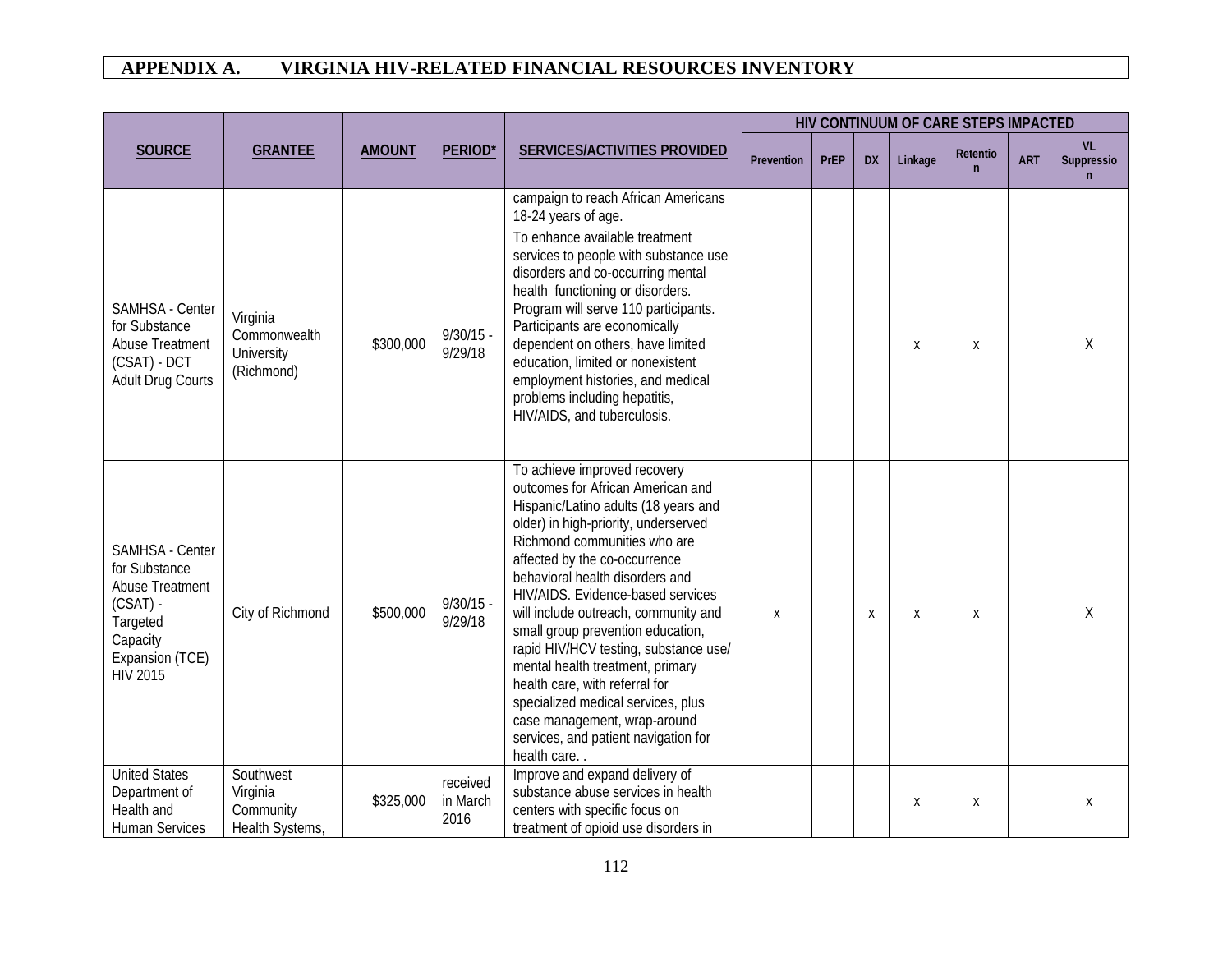| <b>SOURCE</b>                                                                                                                          | <b>GRANTEE</b>                                        | <b>AMOUNT</b> | PERIOD*                      | SERVICES/ACTIVITIES PROVIDED                                                                                                                                                                                                                                                                                                                                                                                                                                                                                                                                                                                        | Prevention | <b>PrEP</b> | <b>DX</b> | Linkage | HIV CONTINUUM OF CARE STEPS IMPACTED<br><b>Retentio</b><br>n<br>X<br>X | <b>ART</b> | <b>VL</b><br>Suppressio<br>$\mathsf{n}$ |
|----------------------------------------------------------------------------------------------------------------------------------------|-------------------------------------------------------|---------------|------------------------------|---------------------------------------------------------------------------------------------------------------------------------------------------------------------------------------------------------------------------------------------------------------------------------------------------------------------------------------------------------------------------------------------------------------------------------------------------------------------------------------------------------------------------------------------------------------------------------------------------------------------|------------|-------------|-----------|---------|------------------------------------------------------------------------|------------|-----------------------------------------|
|                                                                                                                                        |                                                       |               |                              | campaign to reach African Americans<br>18-24 years of age.                                                                                                                                                                                                                                                                                                                                                                                                                                                                                                                                                          |            |             |           |         |                                                                        |            |                                         |
| SAMHSA - Center<br>for Substance<br><b>Abuse Treatment</b><br>(CSAT) - DCT<br><b>Adult Drug Courts</b>                                 | Virginia<br>Commonwealth<br>University<br>(Richmond)  | \$300,000     | $9/30/15 -$<br>9/29/18       | To enhance available treatment<br>services to people with substance use<br>disorders and co-occurring mental<br>health functioning or disorders.<br>Program will serve 110 participants.<br>Participants are economically<br>dependent on others, have limited<br>education, limited or nonexistent<br>employment histories, and medical<br>problems including hepatitis,<br>HIV/AIDS, and tuberculosis.                                                                                                                                                                                                            |            |             |           | X       |                                                                        |            | Χ                                       |
| SAMHSA - Center<br>for Substance<br><b>Abuse Treatment</b><br>$(CSAT)$ -<br>Targeted<br>Capacity<br>Expansion (TCE)<br><b>HIV 2015</b> | City of Richmond                                      | \$500,000     | $9/30/15 -$<br>9/29/18       | To achieve improved recovery<br>outcomes for African American and<br>Hispanic/Latino adults (18 years and<br>older) in high-priority, underserved<br>Richmond communities who are<br>affected by the co-occurrence<br>behavioral health disorders and<br>HIV/AIDS. Evidence-based services<br>will include outreach, community and<br>small group prevention education,<br>rapid HIV/HCV testing, substance use/<br>mental health treatment, primary<br>health care, with referral for<br>specialized medical services, plus<br>case management, wrap-around<br>services, and patient navigation for<br>health care | X          |             | Χ         | X       |                                                                        |            | Χ                                       |
| <b>United States</b><br>Department of<br>Health and<br><b>Human Services</b>                                                           | Southwest<br>Virginia<br>Community<br>Health Systems, | \$325,000     | received<br>in March<br>2016 | Improve and expand delivery of<br>substance abuse services in health<br>centers with specific focus on<br>treatment of opioid use disorders in                                                                                                                                                                                                                                                                                                                                                                                                                                                                      |            |             |           | X       | Χ                                                                      |            | Χ                                       |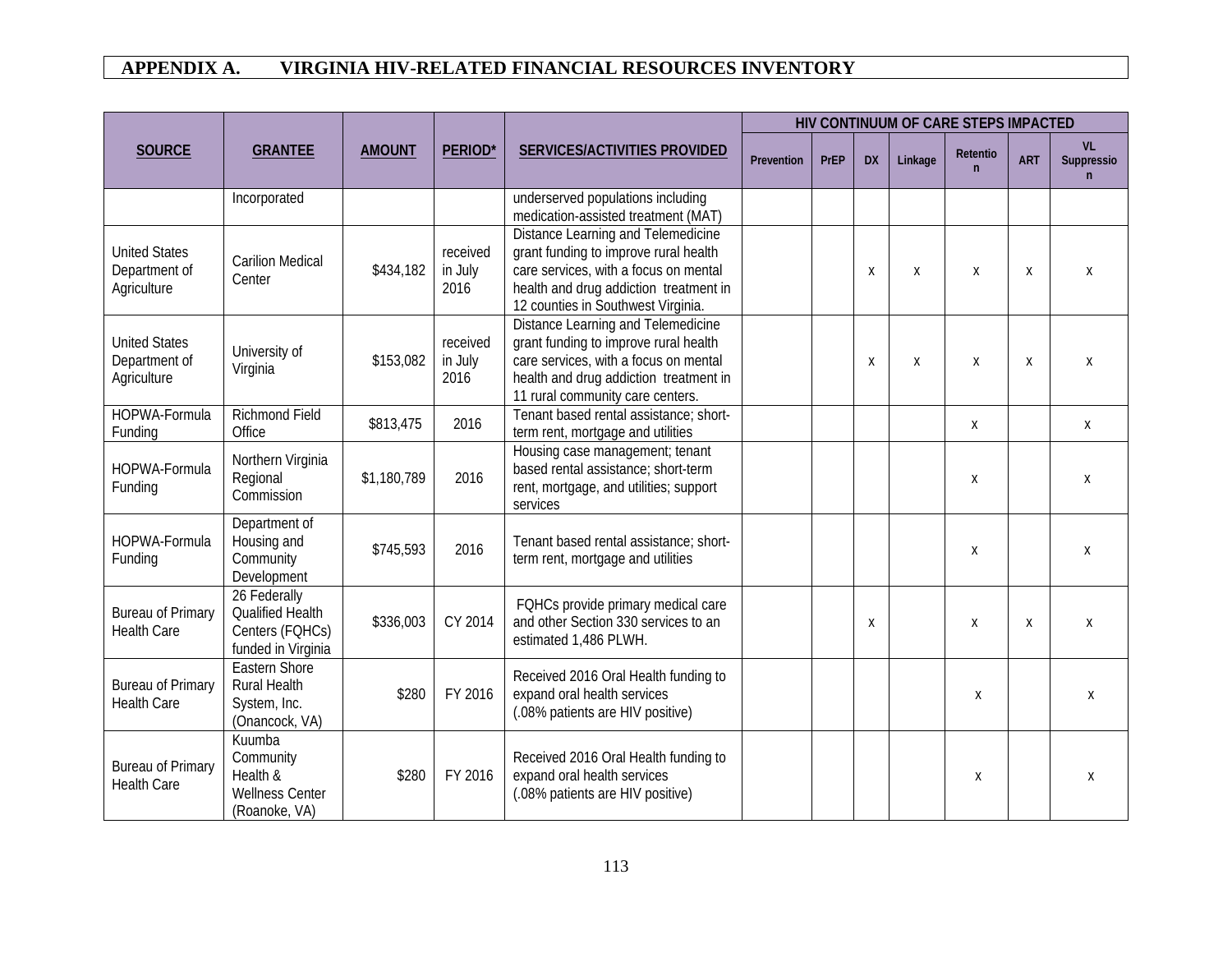|                                                      |                                                                               |               |                             |                                                                                                                                                                                                           |            |             |           |         | HIV CONTINUUM OF CARE STEPS IMPACTED<br>Retentio<br><b>ART</b><br>$\mathsf{n}$<br>$\boldsymbol{\chi}$<br>X<br>X<br>X<br>X<br>Χ<br>Χ<br>Χ<br>X<br>Χ |  |                               |
|------------------------------------------------------|-------------------------------------------------------------------------------|---------------|-----------------------------|-----------------------------------------------------------------------------------------------------------------------------------------------------------------------------------------------------------|------------|-------------|-----------|---------|----------------------------------------------------------------------------------------------------------------------------------------------------|--|-------------------------------|
| <b>SOURCE</b>                                        | <b>GRANTEE</b>                                                                | <b>AMOUNT</b> | PERIOD*                     | SERVICES/ACTIVITIES PROVIDED                                                                                                                                                                              | Prevention | <b>PrEP</b> | <b>DX</b> | Linkage |                                                                                                                                                    |  | <b>VL</b><br>Suppressio<br>n. |
|                                                      | Incorporated                                                                  |               |                             | underserved populations including<br>medication-assisted treatment (MAT)                                                                                                                                  |            |             |           |         |                                                                                                                                                    |  |                               |
| <b>United States</b><br>Department of<br>Agriculture | <b>Carilion Medical</b><br>Center                                             | \$434,182     | received<br>in July<br>2016 | Distance Learning and Telemedicine<br>grant funding to improve rural health<br>care services, with a focus on mental<br>health and drug addiction treatment in<br>12 counties in Southwest Virginia.      |            |             | Χ         | X       |                                                                                                                                                    |  | X                             |
| <b>United States</b><br>Department of<br>Agriculture | University of<br>Virginia                                                     | \$153,082     | received<br>in July<br>2016 | <b>Distance Learning and Telemedicine</b><br>grant funding to improve rural health<br>care services, with a focus on mental<br>health and drug addiction treatment in<br>11 rural community care centers. |            |             | Χ         | X       |                                                                                                                                                    |  | X                             |
| HOPWA-Formula<br>Funding                             | <b>Richmond Field</b><br>Office                                               | \$813,475     | 2016                        | Tenant based rental assistance; short-<br>term rent, mortgage and utilities                                                                                                                               |            |             |           |         |                                                                                                                                                    |  | $\mathsf{X}$                  |
| HOPWA-Formula<br>Funding                             | Northern Virginia<br>Regional<br>Commission                                   | \$1,180,789   | 2016                        | Housing case management; tenant<br>based rental assistance; short-term<br>rent, mortgage, and utilities; support<br>services                                                                              |            |             |           |         |                                                                                                                                                    |  | X                             |
| HOPWA-Formula<br>Funding                             | Department of<br>Housing and<br>Community<br>Development                      | \$745,593     | 2016                        | Tenant based rental assistance; short-<br>term rent, mortgage and utilities                                                                                                                               |            |             |           |         |                                                                                                                                                    |  | X                             |
| <b>Bureau of Primary</b><br><b>Health Care</b>       | 26 Federally<br>Qualified Health<br>Centers (FQHCs)<br>funded in Virginia     | \$336,003     | CY 2014                     | FQHCs provide primary medical care<br>and other Section 330 services to an<br>estimated 1,486 PLWH.                                                                                                       |            |             | X         |         |                                                                                                                                                    |  | X                             |
| <b>Bureau of Primary</b><br><b>Health Care</b>       | <b>Eastern Shore</b><br><b>Rural Health</b><br>System, Inc.<br>(Onancock, VA) | \$280         | FY 2016                     | Received 2016 Oral Health funding to<br>expand oral health services<br>(.08% patients are HIV positive)                                                                                                   |            |             |           |         |                                                                                                                                                    |  | Χ                             |
| <b>Bureau of Primary</b><br><b>Health Care</b>       | Kuumba<br>Community<br>Health &<br><b>Wellness Center</b><br>(Roanoke, VA)    | \$280         | FY 2016                     | Received 2016 Oral Health funding to<br>expand oral health services<br>(.08% patients are HIV positive)                                                                                                   |            |             |           |         | Χ                                                                                                                                                  |  | X                             |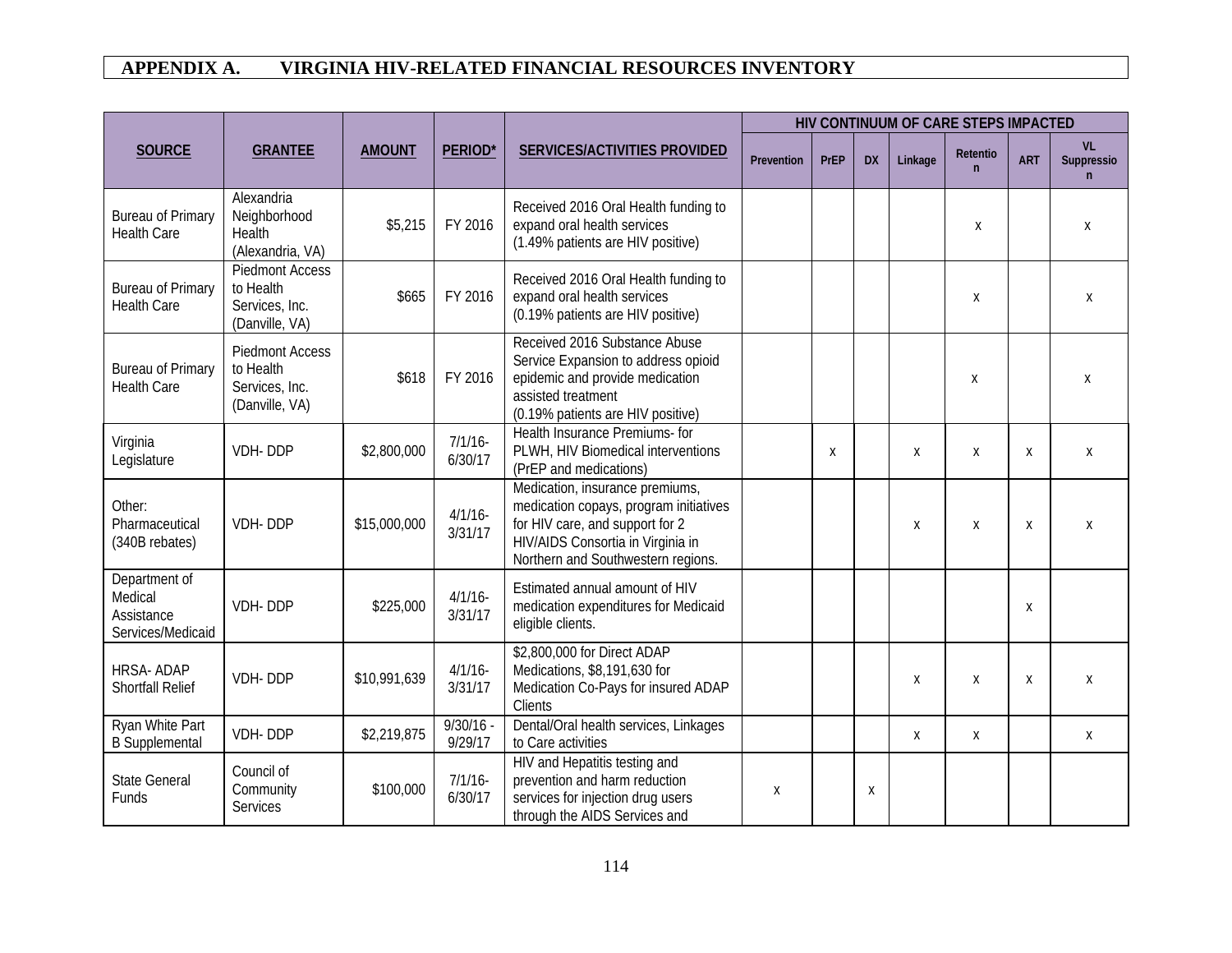|                                                             |                                                                         |               |                        |                                                                                                                                                                                         |            |                  |           |         |                          | HIV CONTINUUM OF CARE STEPS IMPACTED |                                  |  |
|-------------------------------------------------------------|-------------------------------------------------------------------------|---------------|------------------------|-----------------------------------------------------------------------------------------------------------------------------------------------------------------------------------------|------------|------------------|-----------|---------|--------------------------|--------------------------------------|----------------------------------|--|
| <b>SOURCE</b>                                               | <b>GRANTEE</b>                                                          | <b>AMOUNT</b> | <b>PERIOD*</b>         | <b>SERVICES/ACTIVITIES PROVIDED</b>                                                                                                                                                     | Prevention | PrEP             | <b>DX</b> | Linkage | Retentio<br>$\mathsf{n}$ | <b>ART</b>                           | VL<br>Suppressio<br>$\mathsf{n}$ |  |
| <b>Bureau of Primary</b><br><b>Health Care</b>              | Alexandria<br>Neighborhood<br>Health<br>(Alexandria, VA)                | \$5,215       | FY 2016                | Received 2016 Oral Health funding to<br>expand oral health services<br>(1.49% patients are HIV positive)                                                                                |            |                  |           |         | X                        |                                      | Χ                                |  |
| <b>Bureau of Primary</b><br><b>Health Care</b>              | <b>Piedmont Access</b><br>to Health<br>Services, Inc.<br>(Danville, VA) | \$665         | FY 2016                | Received 2016 Oral Health funding to<br>expand oral health services<br>(0.19% patients are HIV positive)                                                                                |            |                  |           |         | Χ                        |                                      | X                                |  |
| <b>Bureau of Primary</b><br><b>Health Care</b>              | <b>Piedmont Access</b><br>to Health<br>Services, Inc.<br>(Danville, VA) | \$618         | FY 2016                | Received 2016 Substance Abuse<br>Service Expansion to address opioid<br>epidemic and provide medication<br>assisted treatment<br>(0.19% patients are HIV positive)                      |            |                  |           |         | Χ                        |                                      | X                                |  |
| Virginia<br>Legislature                                     | VDH-DDP                                                                 | \$2,800,000   | $7/1/16$ -<br>6/30/17  | Health Insurance Premiums- for<br>PLWH, HIV Biomedical interventions<br>(PrEP and medications)                                                                                          |            | $\boldsymbol{X}$ |           | X       | X                        | X                                    | Χ                                |  |
| Other:<br>Pharmaceutical<br>(340B rebates)                  | VDH-DDP                                                                 | \$15,000,000  | $4/1/16$ -<br>3/31/17  | Medication, insurance premiums,<br>medication copays, program initiatives<br>for HIV care, and support for 2<br>HIV/AIDS Consortia in Virginia in<br>Northern and Southwestern regions. |            |                  |           | Χ       | X                        | X                                    | X                                |  |
| Department of<br>Medical<br>Assistance<br>Services/Medicaid | VDH-DDP                                                                 | \$225,000     | $4/1/16$ -<br>3/31/17  | Estimated annual amount of HIV<br>medication expenditures for Medicaid<br>eligible clients.                                                                                             |            |                  |           |         |                          | X                                    |                                  |  |
| <b>HRSA-ADAP</b><br><b>Shortfall Relief</b>                 | VDH-DDP                                                                 | \$10,991,639  | $4/1/16$ -<br>3/31/17  | \$2,800,000 for Direct ADAP<br>Medications, \$8,191,630 for<br>Medication Co-Pays for insured ADAP<br>Clients                                                                           |            |                  |           | Χ       | Χ                        | Χ                                    | Χ                                |  |
| Ryan White Part<br><b>B</b> Supplemental                    | VDH-DDP                                                                 | \$2,219,875   | $9/30/16 -$<br>9/29/17 | Dental/Oral health services, Linkages<br>to Care activities                                                                                                                             |            |                  |           | Χ       | Χ                        |                                      | X                                |  |
| <b>State General</b><br>Funds                               | Council of<br>Community<br><b>Services</b>                              | \$100,000     | 7/1/16<br>6/30/17      | HIV and Hepatitis testing and<br>prevention and harm reduction<br>services for injection drug users<br>through the AIDS Services and                                                    | X          |                  | X         |         |                          |                                      |                                  |  |